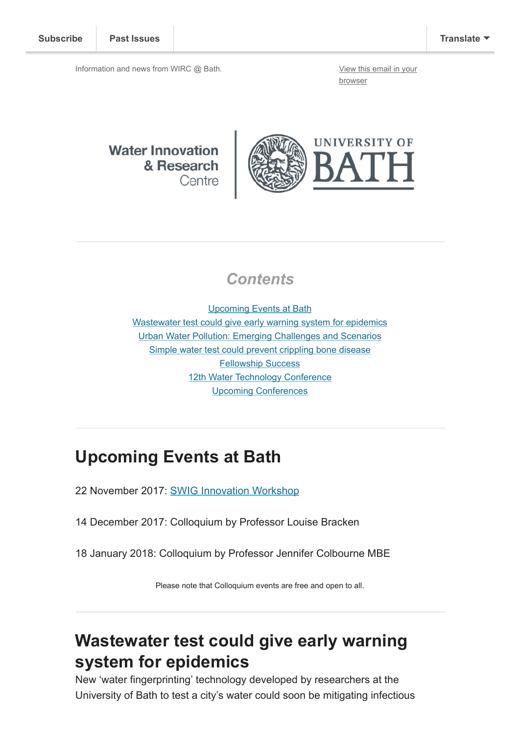Information and news from WIRC @ Bath. [View this email in your](http://mailchi.mp/92bbd6b97423/wircnov2017?e=[UNIQID])

browser

**Water Innovation** & Research Centre



#### **Contents**

[Upcoming Events at Bath](#page-0-0) [Wastewater test could give early warning system for epidemics](#page-0-1) [Urban Water Pollution: Emerging Challenges and Scenarios](#page-1-0) [Simple water test could prevent crippling bone disease](#page-1-1) [Fellowship Success](#page-1-2) [12th Water Technology Conference](#page-2-0) [Upcoming Conferences](#page-2-1)

#### <span id="page-0-0"></span>Upcoming Events at Bath

22 November 2017: [SWIG Innovation Workshop](http://www.swig.org.uk/event/innovation-brokerage-workshop/)

14 December 2017: Colloquium by Professor Louise Bracken

18 January 2018: Colloquium by Professor Jennifer Colbourne MBE

Please note that Colloquium events are free and open to all.

## <span id="page-0-1"></span>Wastewater test could give early warning system for epidemics

New 'water fingerprinting' technology developed by researchers at the University of Bath to test a city's water could soon be mitigating infectious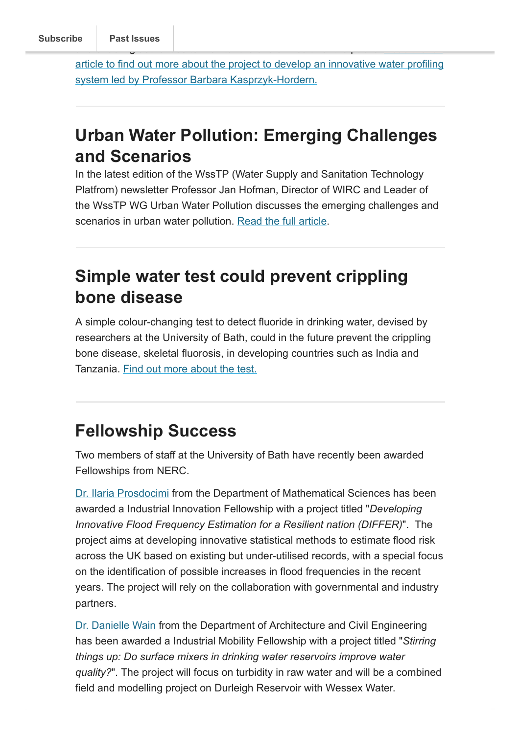[article to find out more about the project to develop an innovative water profiling](http://www.bath.ac.uk/research/news/2017/10/16/testing-wastewater-could-give-early-warning-system-for-preventing-epidemics/) system led by Professor Barbara Kasprzyk-Hordern.

# <span id="page-1-0"></span>Urban Water Pollution: Emerging Challenges and Scenarios

In the latest edition of the WssTP (Water Supply and Sanitation Technology Platfrom) newsletter Professor Jan Hofman, Director of WIRC and Leader of the WssTP WG Urban Water Pollution discusses the emerging challenges and scenarios in urban water pollution. [Read the full article.](http://wsstp.eu/wp-content/uploads/sites/102/2017/11/WssTP-Newsletter-October-2017.pdf)

## <span id="page-1-1"></span>Simple water test could prevent crippling bone disease

A simple colour-changing test to detect fluoride in drinking water, devised by researchers at the University of Bath, could in the future prevent the crippling bone disease, skeletal fluorosis, in developing countries such as India and Tanzania. [Find out more about the test.](http://www.bath.ac.uk/research/news/2017/11/13/fluoride-water-test/)

## <span id="page-1-2"></span>Fellowship Success

Two members of staff at the University of Bath have recently been awarded Fellowships from NERC.

[Dr. Ilaria Prosdocimi](http://www.bath.ac.uk/math-sci/contacts/academics/ilaria-prosdocimi/) from the Department of Mathematical Sciences has been awarded a Industrial Innovation Fellowship with a project titled "Developing Innovative Flood Frequency Estimation for a Resilient nation (DIFFER)". The project aims at developing innovative statistical methods to estimate flood risk across the UK based on existing but under-utilised records, with a special focus on the identification of possible increases in flood frequencies in the recent years. The project will rely on the collaboration with governmental and industry partners.

[Dr. Danielle Wain](http://www.bath.ac.uk/ace/people/wain/) from the Department of Architecture and Civil Engineering has been awarded a Industrial Mobility Fellowship with a project titled "Stirring things up: Do surface mixers in drinking water reservoirs improve water quality?". The project will focus on turbidity in raw water and will be a combined field and modelling project on Durleigh Reservoir with Wessex Water.